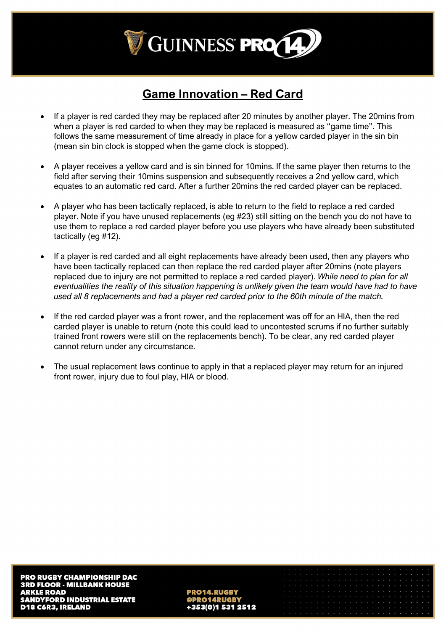

# **Game Innovation – Red Card**

- If a player is red carded they may be replaced after 20 minutes by another player. The 20mins from when a player is red carded to when they may be replaced is measured as "game time". This follows the same measurement of time already in place for a yellow carded player in the sin bin (mean sin bin clock is stopped when the game clock is stopped).
- A player receives a yellow card and is sin binned for 10mins. If the same player then returns to the field after serving their 10mins suspension and subsequently receives a 2nd yellow card, which equates to an automatic red card. After a further 20mins the red carded player can be replaced.
- A player who has been tactically replaced, is able to return to the field to replace a red carded player. Note if you have unused replacements (eg #23) still sitting on the bench you do not have to use them to replace a red carded player before you use players who have already been substituted tactically (eg #12).
- If a player is red carded and all eight replacements have already been used, then any players who have been tactically replaced can then replace the red carded player after 20mins (note players replaced due to injury are not permitted to replace a red carded player). *While need to plan for all eventualities the reality of this situation happening is unlikely given the team would have had to have used all 8 replacements and had a player red carded prior to the 60th minute of the match.*
- If the red carded player was a front rower, and the replacement was off for an HIA, then the red carded player is unable to return (note this could lead to uncontested scrums if no further suitably trained front rowers were still on the replacements bench). To be clear, any red carded player cannot return under any circumstance.
- The usual replacement laws continue to apply in that a replaced player may return for an injured front rower, injury due to foul play, HIA or blood.

**PRO14.RUGBY** +353(0)1 531 2512

|  |  |  | o concerto de contra contra contra contra contra contra contra contra de la contra de la contra |  |  |  |  |  |  |  |  |  |  |
|--|--|--|-------------------------------------------------------------------------------------------------|--|--|--|--|--|--|--|--|--|--|
|  |  |  |                                                                                                 |  |  |  |  |  |  |  |  |  |  |
|  |  |  |                                                                                                 |  |  |  |  |  |  |  |  |  |  |
|  |  |  |                                                                                                 |  |  |  |  |  |  |  |  |  |  |
|  |  |  |                                                                                                 |  |  |  |  |  |  |  |  |  |  |